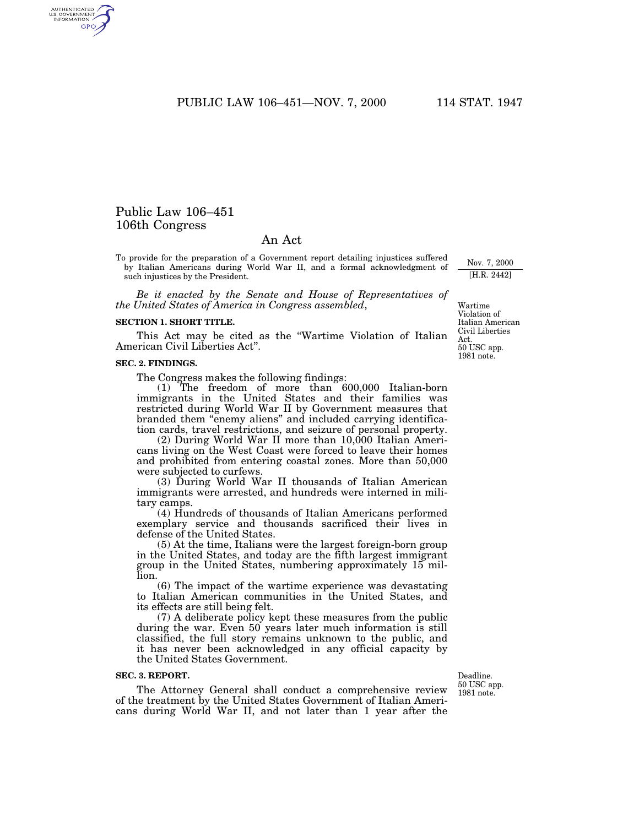PUBLIC LAW 106–451—NOV. 7, 2000 114 STAT. 1947

# Public Law 106–451 106th Congress

AUTHENTICATED<br>U.S. GOVERNMENT<br>INFORMATION **GPO** 

# An Act

To provide for the preparation of a Government report detailing injustices suffered by Italian Americans during World War II, and a formal acknowledgment of such injustices by the President.

*Be it enacted by the Senate and House of Representatives of the United States of America in Congress assembled*,

#### **SECTION 1. SHORT TITLE.**

This Act may be cited as the ''Wartime Violation of Italian American Civil Liberties Act''.

#### **SEC. 2. FINDINGS.**

The Congress makes the following findings:

(1) The freedom of more than 600,000 Italian-born immigrants in the United States and their families was restricted during World War II by Government measures that branded them ''enemy aliens'' and included carrying identification cards, travel restrictions, and seizure of personal property.

 $(2)$  During World War II more than  $10,000$  Italian Americans living on the West Coast were forced to leave their homes and prohibited from entering coastal zones. More than 50,000 were subjected to curfews.

(3) During World War II thousands of Italian American immigrants were arrested, and hundreds were interned in military camps.

(4) Hundreds of thousands of Italian Americans performed exemplary service and thousands sacrificed their lives in defense of the United States.

(5) At the time, Italians were the largest foreign-born group in the United States, and today are the fifth largest immigrant group in the United States, numbering approximately 15 million.

(6) The impact of the wartime experience was devastating to Italian American communities in the United States, and its effects are still being felt.

(7) A deliberate policy kept these measures from the public during the war. Even 50 years later much information is still classified, the full story remains unknown to the public, and it has never been acknowledged in any official capacity by the United States Government.

### **SEC. 3. REPORT.**

The Attorney General shall conduct a comprehensive review of the treatment by the United States Government of Italian Americans during World War II, and not later than 1 year after the

Deadline. 50 USC app. 1981 note.

50 USC app. 1981 note. Wartime Violation of Italian American Civil Liberties Act.

Nov. 7, 2000 [H.R. 2442]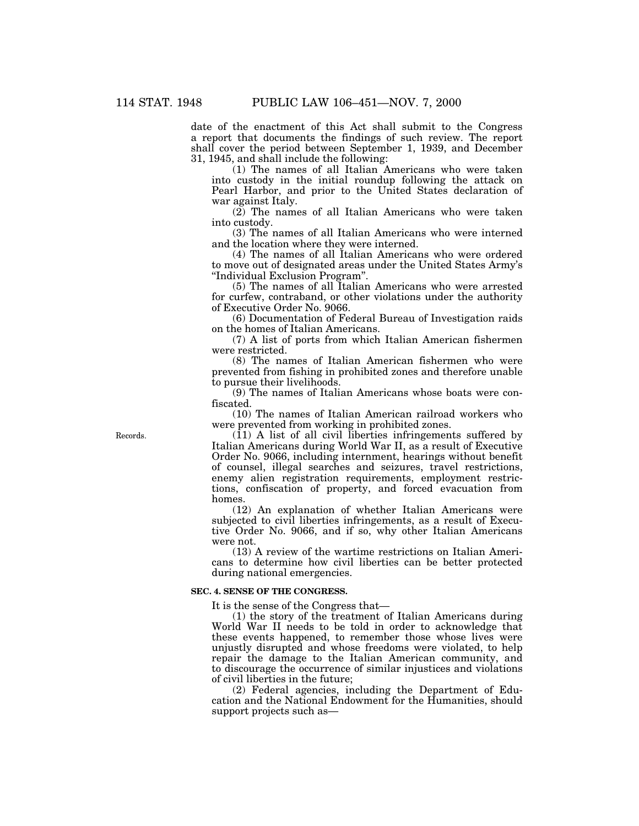date of the enactment of this Act shall submit to the Congress a report that documents the findings of such review. The report shall cover the period between September 1, 1939, and December 31, 1945, and shall include the following:

(1) The names of all Italian Americans who were taken into custody in the initial roundup following the attack on Pearl Harbor, and prior to the United States declaration of war against Italy.

 $(2)$  The names of all Italian Americans who were taken into custody.

(3) The names of all Italian Americans who were interned and the location where they were interned.

(4) The names of all Italian Americans who were ordered to move out of designated areas under the United States Army's ''Individual Exclusion Program''.

(5) The names of all Italian Americans who were arrested for curfew, contraband, or other violations under the authority of Executive Order No. 9066.

(6) Documentation of Federal Bureau of Investigation raids on the homes of Italian Americans.

(7) A list of ports from which Italian American fishermen were restricted.

(8) The names of Italian American fishermen who were prevented from fishing in prohibited zones and therefore unable to pursue their livelihoods.

(9) The names of Italian Americans whose boats were confiscated.

(10) The names of Italian American railroad workers who were prevented from working in prohibited zones.

 $(11)$  A list of all civil liberties infringements suffered by Italian Americans during World War II, as a result of Executive Order No. 9066, including internment, hearings without benefit of counsel, illegal searches and seizures, travel restrictions, enemy alien registration requirements, employment restrictions, confiscation of property, and forced evacuation from homes.

(12) An explanation of whether Italian Americans were subjected to civil liberties infringements, as a result of Executive Order No. 9066, and if so, why other Italian Americans were not.

(13) A review of the wartime restrictions on Italian Americans to determine how civil liberties can be better protected during national emergencies.

## **SEC. 4. SENSE OF THE CONGRESS.**

It is the sense of the Congress that—

(1) the story of the treatment of Italian Americans during World War II needs to be told in order to acknowledge that these events happened, to remember those whose lives were unjustly disrupted and whose freedoms were violated, to help repair the damage to the Italian American community, and to discourage the occurrence of similar injustices and violations of civil liberties in the future;

(2) Federal agencies, including the Department of Education and the National Endowment for the Humanities, should support projects such as—

Records.